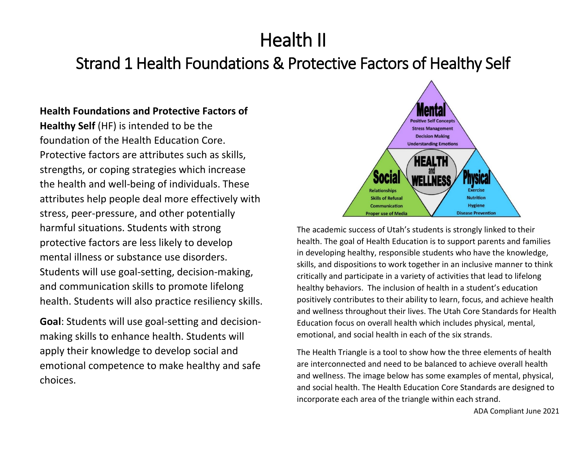# Health II

## Strand 1 Health Foundations & Protective Factors of Healthy Self

## **Health Foundations and Protective Factors of**

**Healthy Self** (HF) is intended to be the foundation of the Health Education Core. Protective factors are attributes such as skills, strengths, or coping strategies which increase the health and well-being of individuals. These attributes help people deal more effectively with stress, peer-pressure, and other potentially harmful situations. Students with strong protective factors are less likely to develop mental illness or substance use disorders. Students will use goal-setting, decision-making, and communication skills to promote lifelong health. Students will also practice resiliency skills.

**Goal**: Students will use goal-setting and decisionmaking skills to enhance health. Students will apply their knowledge to develop social and emotional competence to make healthy and safe choices.



The academic success of Utah's students is strongly linked to their health. The goal of Health Education is to support parents and families in developing healthy, responsible students who have the knowledge, skills, and dispositions to work together in an inclusive manner to think critically and participate in a variety of activities that lead to lifelong healthy behaviors. The inclusion of health in a student's education positively contributes to their ability to learn, focus, and achieve health and wellness throughout their lives. The Utah Core Standards for Health Education focus on overall health which includes physical, mental, emotional, and social health in each of the six strands.

The Health Triangle is a tool to show how the three elements of health are interconnected and need to be balanced to achieve overall health and wellness. The image below has some examples of mental, physical, and social health. The Health Education Core Standards are designed to incorporate each area of the triangle within each strand.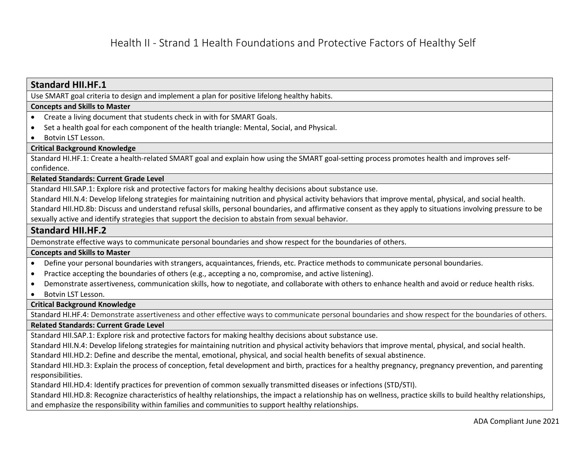| <b>Standard HII.HF.1</b>                                                                                                                                          |
|-------------------------------------------------------------------------------------------------------------------------------------------------------------------|
| Use SMART goal criteria to design and implement a plan for positive lifelong healthy habits.                                                                      |
| <b>Concepts and Skills to Master</b>                                                                                                                              |
| Create a living document that students check in with for SMART Goals.<br>$\bullet$                                                                                |
| Set a health goal for each component of the health triangle: Mental, Social, and Physical.                                                                        |
| Botvin LST Lesson.<br>$\bullet$                                                                                                                                   |
| <b>Critical Background Knowledge</b>                                                                                                                              |
| Standard HI.HF.1: Create a health-related SMART goal and explain how using the SMART goal-setting process promotes health and improves self-                      |
| confidence.                                                                                                                                                       |
| <b>Related Standards: Current Grade Level</b>                                                                                                                     |
| Standard HII.SAP.1: Explore risk and protective factors for making healthy decisions about substance use.                                                         |
| Standard HII.N.4: Develop lifelong strategies for maintaining nutrition and physical activity behaviors that improve mental, physical, and social health.         |
| Standard HII.HD.8b: Discuss and understand refusal skills, personal boundaries, and affirmative consent as they apply to situations involving pressure to be      |
| sexually active and identify strategies that support the decision to abstain from sexual behavior.                                                                |
| <b>Standard HII.HF.2</b>                                                                                                                                          |
| Demonstrate effective ways to communicate personal boundaries and show respect for the boundaries of others.                                                      |
| <b>Concepts and Skills to Master</b>                                                                                                                              |
| Define your personal boundaries with strangers, acquaintances, friends, etc. Practice methods to communicate personal boundaries.<br>$\bullet$                    |
| Practice accepting the boundaries of others (e.g., accepting a no, compromise, and active listening).<br>$\bullet$                                                |
| Demonstrate assertiveness, communication skills, how to negotiate, and collaborate with others to enhance health and avoid or reduce health risks.<br>$\bullet$   |
| Botvin LST Lesson.<br>$\bullet$                                                                                                                                   |
| <b>Critical Background Knowledge</b>                                                                                                                              |
| Standard HI.HF.4: Demonstrate assertiveness and other effective ways to communicate personal boundaries and show respect for the boundaries of others.            |
| <b>Related Standards: Current Grade Level</b>                                                                                                                     |
| Standard HII.SAP.1: Explore risk and protective factors for making healthy decisions about substance use.                                                         |
| Standard HII.N.4: Develop lifelong strategies for maintaining nutrition and physical activity behaviors that improve mental, physical, and social health.         |
| Standard HII.HD.2: Define and describe the mental, emotional, physical, and social health benefits of sexual abstinence.                                          |
| Standard HII.HD.3: Explain the process of conception, fetal development and birth, practices for a healthy pregnancy, pregnancy prevention, and parenting         |
| responsibilities.                                                                                                                                                 |
| Standard HII.HD.4: Identify practices for prevention of common sexually transmitted diseases or infections (STD/STI).                                             |
| Standard HII.HD.8: Recognize characteristics of healthy relationships, the impact a relationship has on wellness, practice skills to build healthy relationships, |
| and emphasize the responsibility within families and communities to support healthy relationships.                                                                |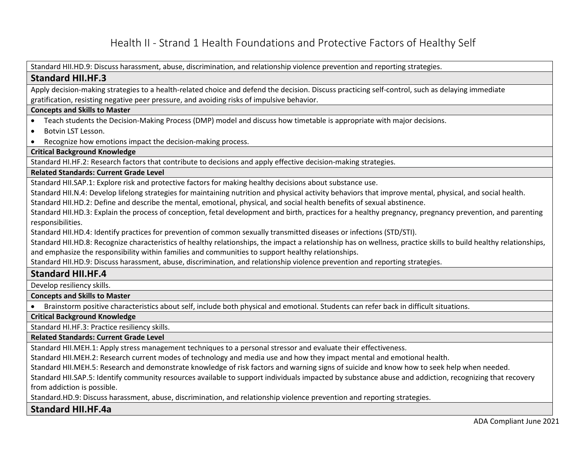Standard HII.HD.9: Discuss harassment, abuse, discrimination, and relationship violence prevention and reporting strategies.

#### **Standard HII.HF.3**

Apply decision-making strategies to a health-related choice and defend the decision. Discuss practicing self-control, such as delaying immediate gratification, resisting negative peer pressure, and avoiding risks of impulsive behavior.

#### **Concepts and Skills to Master**

- Teach students the Decision-Making Process (DMP) model and discuss how timetable is appropriate with major decisions.
- Botvin LST Lesson.
- Recognize how emotions impact the decision-making process.

**Critical Background Knowledge**

Standard HI.HF.2: Research factors that contribute to decisions and apply effective decision-making strategies.

#### **Related Standards: Current Grade Level**

Standard HII.SAP.1: Explore risk and protective factors for making healthy decisions about substance use.

Standard HII.N.4: Develop lifelong strategies for maintaining nutrition and physical activity behaviors that improve mental, physical, and social health.

Standard HII.HD.2: Define and describe the mental, emotional, physical, and social health benefits of sexual abstinence.

Standard HII.HD.3: Explain the process of conception, fetal development and birth, practices for a healthy pregnancy, pregnancy prevention, and parenting responsibilities.

Standard HII.HD.4: Identify practices for prevention of common sexually transmitted diseases or infections (STD/STI).

Standard HII.HD.8: Recognize characteristics of healthy relationships, the impact a relationship has on wellness, practice skills to build healthy relationships, and emphasize the responsibility within families and communities to support healthy relationships.

Standard HII.HD.9: Discuss harassment, abuse, discrimination, and relationship violence prevention and reporting strategies.

#### **Standard HII.HF.4**

Develop resiliency skills.

**Concepts and Skills to Master** 

• Brainstorm positive characteristics about self, include both physical and emotional. Students can refer back in difficult situations.

#### **Critical Background Knowledge**

Standard HI.HF.3: Practice resiliency skills.

**Related Standards: Current Grade Level**

Standard HII.MEH.1: Apply stress management techniques to a personal stressor and evaluate their effectiveness.

Standard HII.MEH.2: Research current modes of technology and media use and how they impact mental and emotional health.

Standard HII.MEH.5: Research and demonstrate knowledge of risk factors and warning signs of suicide and know how to seek help when needed.

Standard HII.SAP.5: Identify community resources available to support individuals impacted by substance abuse and addiction, recognizing that recovery from addiction is possible.

Standard.HD.9: Discuss harassment, abuse, discrimination, and relationship violence prevention and reporting strategies.

#### **Standard HII.HF.4a**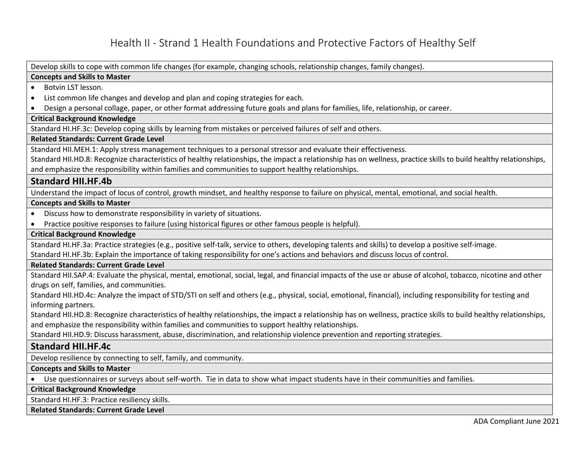Develop skills to cope with common life changes (for example, changing schools, relationship changes, family changes).

#### **Concepts and Skills to Master**

#### • Botvin LST lesson.

- List common life changes and develop and plan and coping strategies for each.
- Design a personal collage, paper, or other format addressing future goals and plans for families, life, relationship, or career.

#### **Critical Background Knowledge**

Standard HI.HF.3c: Develop coping skills by learning from mistakes or perceived failures of self and others.

#### **Related Standards: Current Grade Level**

Standard HII.MEH.1: Apply stress management techniques to a personal stressor and evaluate their effectiveness.

Standard HII.HD.8: Recognize characteristics of healthy relationships, the impact a relationship has on wellness, practice skills to build healthy relationships, and emphasize the responsibility within families and communities to support healthy relationships.

#### **Standard HII.HF.4b**

Understand the impact of locus of control, growth mindset, and healthy response to failure on physical, mental, emotional, and social health.

#### **Concepts and Skills to Master**

- Discuss how to demonstrate responsibility in variety of situations.
- Practice positive responses to failure (using historical figures or other famous people is helpful).

#### **Critical Background Knowledge**

Standard HI.HF.3a: Practice strategies (e.g., positive self-talk, service to others, developing talents and skills) to develop a positive self-image.

Standard HI.HF.3b: Explain the importance of taking responsibility for one's actions and behaviors and discuss locus of control.

#### **Related Standards: Current Grade Level**

Standard HII.SAP.4: Evaluate the physical, mental, emotional, social, legal, and financial impacts of the use or abuse of alcohol, tobacco, nicotine and other drugs on self, families, and communities.

Standard HII.HD.4c: Analyze the impact of STD/STI on self and others (e.g., physical, social, emotional, financial), including responsibility for testing and informing partners.

Standard HII.HD.8: Recognize characteristics of healthy relationships, the impact a relationship has on wellness, practice skills to build healthy relationships, and emphasize the responsibility within families and communities to support healthy relationships.

Standard HII.HD.9: Discuss harassment, abuse, discrimination, and relationship violence prevention and reporting strategies.

#### **Standard HII.HF.4c**

Develop resilience by connecting to self, family, and community.

**Concepts and Skills to Master** 

• Use questionnaires or surveys about self-worth. Tie in data to show what impact students have in their communities and families.

**Critical Background Knowledge**

Standard HI.HF.3: Practice resiliency skills.

**Related Standards: Current Grade Level**